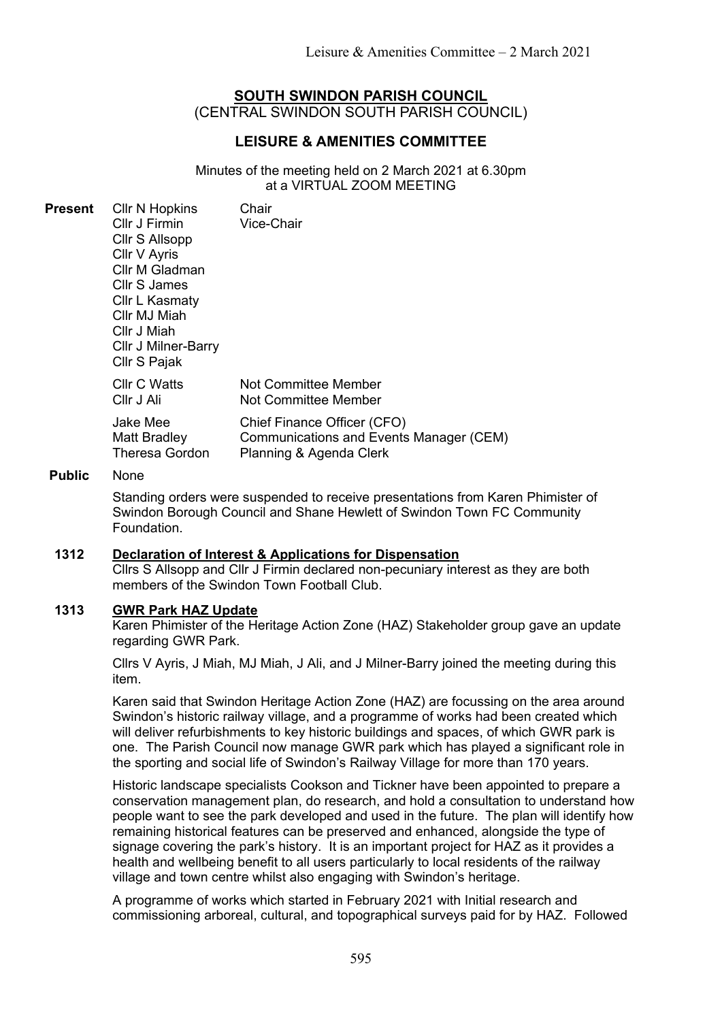# **SOUTH SWINDON PARISH COUNCIL**

(CENTRAL SWINDON SOUTH PARISH COUNCIL)

# **LEISURE & AMENITIES COMMITTEE**

Minutes of the meeting held on 2 March 2021 at 6.30pm at a VIRTUAL ZOOM MEETING

| Present | <b>CIIr N Hopkins</b><br>Cllr J Firmin<br>Cllr S Allsopp<br>Cllr V Ayris<br>Cllr M Gladman<br>Cllr S James<br>Cllr L Kasmaty<br>Cllr MJ Miah<br>Cllr J Miah<br><b>CIIr J Milner-Barry</b><br>Cllr S Pajak | Chair<br>Vice-Chair                                                                               |
|---------|-----------------------------------------------------------------------------------------------------------------------------------------------------------------------------------------------------------|---------------------------------------------------------------------------------------------------|
|         | <b>CIIr C Watts</b><br>Cllr J Ali                                                                                                                                                                         | Not Committee Member<br>Not Committee Member                                                      |
|         | Jake Mee<br>Matt Bradley<br>Theresa Gordon                                                                                                                                                                | Chief Finance Officer (CFO)<br>Communications and Events Manager (CEM)<br>Planning & Agenda Clerk |

### **Public** None

Standing orders were suspended to receive presentations from Karen Phimister of Swindon Borough Council and Shane Hewlett of Swindon Town FC Community Foundation.

### **1312 Declaration of Interest & Applications for Dispensation**

Cllrs S Allsopp and Cllr J Firmin declared non-pecuniary interest as they are both members of the Swindon Town Football Club.

### **1313 GWR Park HAZ Update**

Karen Phimister of the Heritage Action Zone (HAZ) Stakeholder group gave an update regarding GWR Park.

Cllrs V Ayris, J Miah, MJ Miah, J Ali, and J Milner-Barry joined the meeting during this item.

Karen said that Swindon Heritage Action Zone (HAZ) are focussing on the area around Swindon's historic railway village, and a programme of works had been created which will deliver refurbishments to key historic buildings and spaces, of which GWR park is one. The Parish Council now manage GWR park which has played a significant role in the sporting and social life of Swindon's Railway Village for more than 170 years.

Historic landscape specialists Cookson and Tickner have been appointed to prepare a conservation management plan, do research, and hold a consultation to understand how people want to see the park developed and used in the future. The plan will identify how remaining historical features can be preserved and enhanced, alongside the type of signage covering the park's history. It is an important project for HAZ as it provides a health and wellbeing benefit to all users particularly to local residents of the railway village and town centre whilst also engaging with Swindon's heritage.

A programme of works which started in February 2021 with Initial research and commissioning arboreal, cultural, and topographical surveys paid for by HAZ. Followed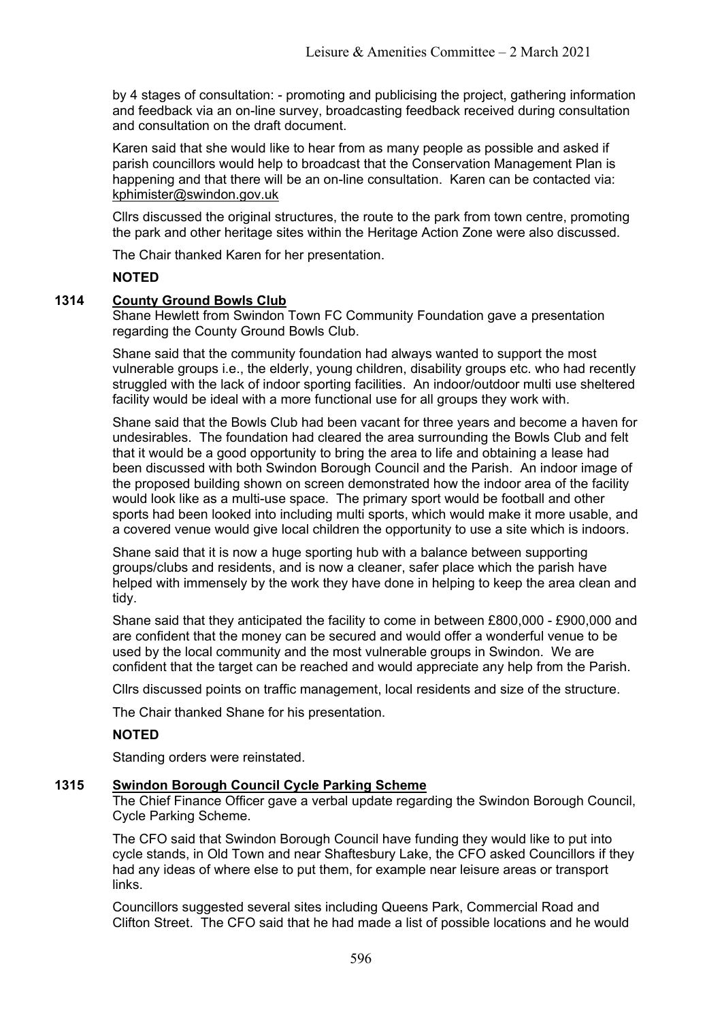by 4 stages of consultation: - promoting and publicising the project, gathering information and feedback via an on-line survey, broadcasting feedback received during consultation and consultation on the draft document.

Karen said that she would like to hear from as many people as possible and asked if parish councillors would help to broadcast that the Conservation Management Plan is happening and that there will be an on-line consultation. Karen can be contacted via: [kphimister@swindon.gov.uk](mailto:kphimister@swindon.gov.uk)

Cllrs discussed the original structures, the route to the park from town centre, promoting the park and other heritage sites within the Heritage Action Zone were also discussed.

The Chair thanked Karen for her presentation.

### **NOTED**

### **1314 County Ground Bowls Club**

Shane Hewlett from Swindon Town FC Community Foundation gave a presentation regarding the County Ground Bowls Club.

Shane said that the community foundation had always wanted to support the most vulnerable groups i.e., the elderly, young children, disability groups etc. who had recently struggled with the lack of indoor sporting facilities. An indoor/outdoor multi use sheltered facility would be ideal with a more functional use for all groups they work with.

Shane said that the Bowls Club had been vacant for three years and become a haven for undesirables. The foundation had cleared the area surrounding the Bowls Club and felt that it would be a good opportunity to bring the area to life and obtaining a lease had been discussed with both Swindon Borough Council and the Parish. An indoor image of the proposed building shown on screen demonstrated how the indoor area of the facility would look like as a multi-use space. The primary sport would be football and other sports had been looked into including multi sports, which would make it more usable, and a covered venue would give local children the opportunity to use a site which is indoors.

Shane said that it is now a huge sporting hub with a balance between supporting groups/clubs and residents, and is now a cleaner, safer place which the parish have helped with immensely by the work they have done in helping to keep the area clean and tidy.

Shane said that they anticipated the facility to come in between £800,000 - £900,000 and are confident that the money can be secured and would offer a wonderful venue to be used by the local community and the most vulnerable groups in Swindon. We are confident that the target can be reached and would appreciate any help from the Parish.

Cllrs discussed points on traffic management, local residents and size of the structure.

The Chair thanked Shane for his presentation.

### **NOTED**

Standing orders were reinstated.

### **1315 Swindon Borough Council Cycle Parking Scheme**

The Chief Finance Officer gave a verbal update regarding the Swindon Borough Council, Cycle Parking Scheme.

The CFO said that Swindon Borough Council have funding they would like to put into cycle stands, in Old Town and near Shaftesbury Lake, the CFO asked Councillors if they had any ideas of where else to put them, for example near leisure areas or transport links.

Councillors suggested several sites including Queens Park, Commercial Road and Clifton Street. The CFO said that he had made a list of possible locations and he would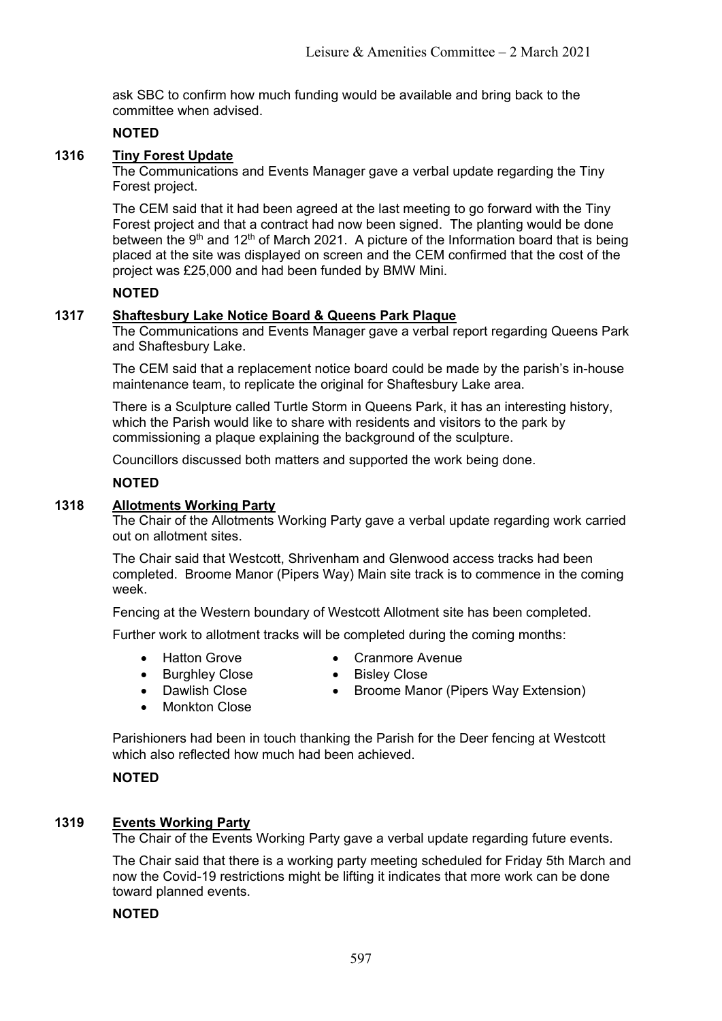ask SBC to confirm how much funding would be available and bring back to the committee when advised.

### **NOTED**

# **1316 Tiny Forest Update**

The Communications and Events Manager gave a verbal update regarding the Tiny Forest project.

The CEM said that it had been agreed at the last meeting to go forward with the Tiny Forest project and that a contract had now been signed. The planting would be done between the 9<sup>th</sup> and 12<sup>th</sup> of March 2021. A picture of the Information board that is being placed at the site was displayed on screen and the CEM confirmed that the cost of the project was £25,000 and had been funded by BMW Mini.

### **NOTED**

## **1317 Shaftesbury Lake Notice Board & Queens Park Plaque**

The Communications and Events Manager gave a verbal report regarding Queens Park and Shaftesbury Lake.

The CEM said that a replacement notice board could be made by the parish's in-house maintenance team, to replicate the original for Shaftesbury Lake area.

There is a Sculpture called Turtle Storm in Queens Park, it has an interesting history, which the Parish would like to share with residents and visitors to the park by commissioning a plaque explaining the background of the sculpture.

Councillors discussed both matters and supported the work being done.

### **NOTED**

### **1318 Allotments Working Party**

The Chair of the Allotments Working Party gave a verbal update regarding work carried out on allotment sites.

The Chair said that Westcott, Shrivenham and Glenwood access tracks had been completed. Broome Manor (Pipers Way) Main site track is to commence in the coming week.

Fencing at the Western boundary of Westcott Allotment site has been completed.

Further work to allotment tracks will be completed during the coming months:

- 
- Hatton Grove Cranmore Avenue
- Burghley Close Bisley Close
- Dawlish Close Broome Manor (Pipers Way Extension)
- **Monkton Close**

Parishioners had been in touch thanking the Parish for the Deer fencing at Westcott which also reflected how much had been achieved.

### **NOTED**

### **1319 Events Working Party**

The Chair of the Events Working Party gave a verbal update regarding future events.

The Chair said that there is a working party meeting scheduled for Friday 5th March and now the Covid-19 restrictions might be lifting it indicates that more work can be done toward planned events.

### **NOTED**